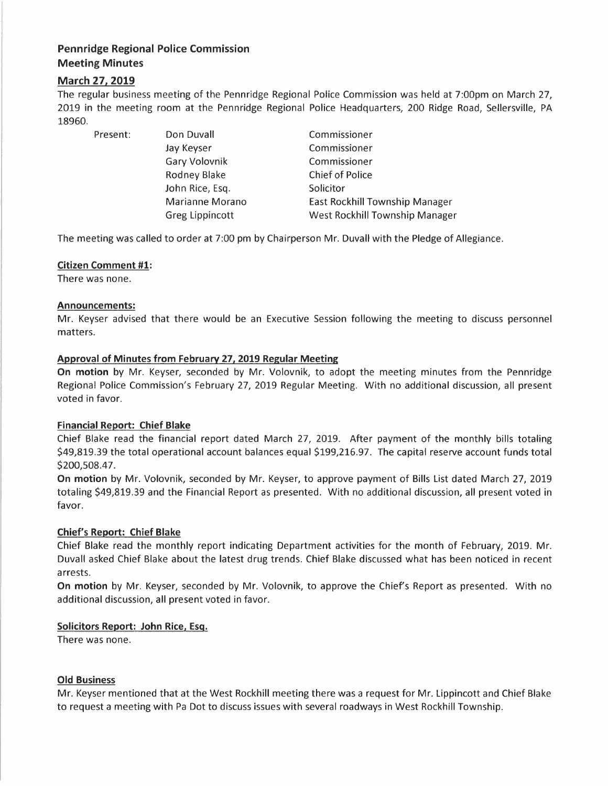# **Pennridge Regional Police Commission Meeting Minutes**

# **March 27, 2019**

The regular business meeting of the Pennridge Regional Police Commission was held at 7:00pm on March 27, 2019 in the meeting room at the Pennridge Regional Police Headquarters, 200 Ridge Road, Sellersville, PA 18960.

Present: Don Duvall

Jay Keyser Gary Volovnik Rodney Blake John Rice, Esq. Marianne Morano Greg Lippincott

Commissioner Commissioner Commissioner Chief of Police Solicitor East Rockhill Township Manager West Rockhill Township Manager

The meeting was called to order at 7:00 pm by Chairperson Mr. Duvall with the Pledge of Allegiance.

## **Citizen Comment #1:**

There was none.

## **Announcements:**

Mr. Keyser advised that there would be an Executive Session following the meeting to discuss personnel matters.

## **Approval of Minutes from February 27, 2019 Regular Meeting**

**On motion** by Mr. Keyser, seconded by Mr. Volovnik, to adopt the meeting minutes from the Pennridge Regional Police Commission's February 27, 2019 Regular Meeting. With no additional discussion, all present voted in favor.

## **Financial Report: Chief Blake**

Chief Blake read the financial report dated March 27, 2019. After payment of the monthly bills totaling \$49,819.39 the total operational account balances equal \$199,216.97. The capital reserve account funds total \$200,508.47.

**On motion** by Mr. Volovnik, seconded by Mr. Keyser, to approve payment of Bills List dated March 27, 2019 totaling \$49,819.39 and the Financial Report as presented. With no additional discussion, all present voted in favor.

# **Chief's Report: Chief Blake**

Chief Blake read the monthly report indicating Department activities for the month of February, 2019. Mr. Duvall asked Chief Blake about the latest drug trends. Chief Blake discussed what has been noticed in recent arrests.

**On motion** by Mr. Keyser, seconded by Mr. Volovnik, to approve the Chief's Report as presented. With no additional discussion, all present voted in favor.

## **Solicitors Report: John Rice, Esq.**

There was none.

## **Old Business**

Mr. Keyser mentioned that at the West Rockhill meeting there was a request for Mr. Lippincott and Chief Blake to request a meeting with Pa Dot to discuss issues with several roadways in West Rockhill Township.